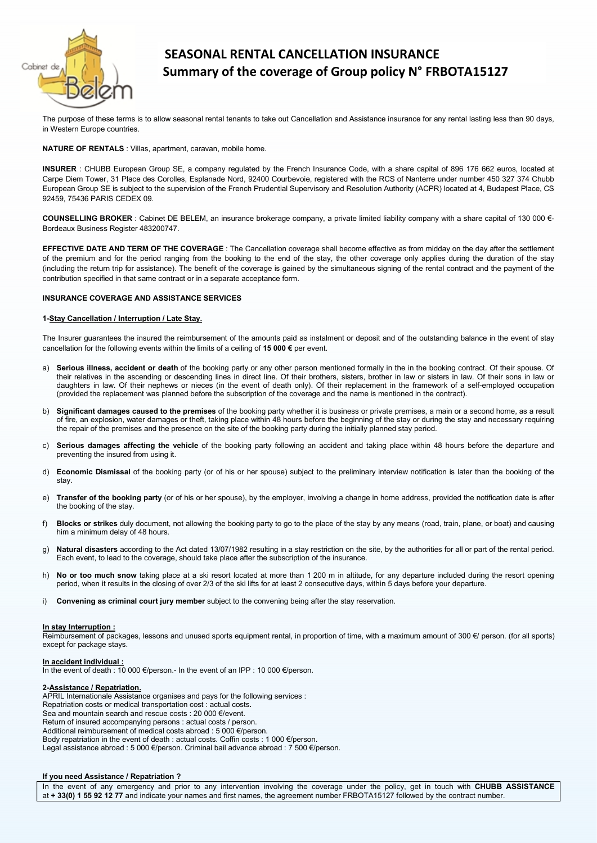

# SEASONAL RENTAL CANCELLATION INSURANCE Summary of the coverage of Group policy N° FRBOTA15127

The purpose of these terms is to allow seasonal rental tenants to take out Cancellation and Assistance insurance for any rental lasting less than 90 days, in Western Europe countries.

# NATURE OF RENTALS : Villas, apartment, caravan, mobile home.

INSURER : CHUBB European Group SE, a company regulated by the French Insurance Code, with a share capital of 896 176 662 euros, located at Carpe Diem Tower, 31 Place des Corolles, Esplanade Nord, 92400 Courbevoie, registered with the RCS of Nanterre under number 450 327 374 Chubb European Group SE is subject to the supervision of the French Prudential Supervisory and Resolution Authority (ACPR) located at 4, Budapest Place, CS 92459, 75436 PARIS CEDEX 09.

COUNSELLING BROKER : Cabinet DE BELEM, an insurance brokerage company, a private limited liability company with a share capital of 130 000 €-Bordeaux Business Register 483200747.

EFFECTIVE DATE AND TERM OF THE COVERAGE : The Cancellation coverage shall become effective as from midday on the day after the settlement of the premium and for the period ranging from the booking to the end of the stay, the other coverage only applies during the duration of the stay (including the return trip for assistance). The benefit of the coverage is gained by the simultaneous signing of the rental contract and the payment of the contribution specified in that same contract or in a separate acceptance form.

# INSURANCE COVERAGE AND ASSISTANCE SERVICES

# 1-Stay Cancellation / Interruption / Late Stay.

The Insurer guarantees the insured the reimbursement of the amounts paid as instalment or deposit and of the outstanding balance in the event of stay cancellation for the following events within the limits of a ceiling of 15 000  $\epsilon$  per event.

- a) Serious illness, accident or death of the booking party or any other person mentioned formally in the in the booking contract. Of their spouse. Of their relatives in the ascending or descending lines in direct line. Of their brothers, sisters, brother in law or sisters in law. Of their sons in law or sisters in law or sisters in law. Of their sons in law or daughters in law. Of their nephews or nieces (in the event of death only). Of their replacement in the framework of a self-employed occupation (provided the replacement was planned before the subscription of the coverage and the name is mentioned in the contract).
- b) Significant damages caused to the premises of the booking party whether it is business or private premises, a main or a second home, as a result of fire, an explosion, water damages or theft, taking place within 48 hours before the beginning of the stay or during the stay and necessary requiring the repair of the premises and the presence on the site of the booking party during the initially planned stay period.
- c) Serious damages affecting the vehicle of the booking party following an accident and taking place within 48 hours before the departure and preventing the insured from using it.
- d) Economic Dismissal of the booking party (or of his or her spouse) subject to the preliminary interview notification is later than the booking of the stay.
- e) Transfer of the booking party (or of his or her spouse), by the employer, involving a change in home address, provided the notification date is after the booking of the stay.
- f) Blocks or strikes duly document, not allowing the booking party to go to the place of the stay by any means (road, train, plane, or boat) and causing him a minimum delay of 48 hours.
- g) Natural disasters according to the Act dated 13/07/1982 resulting in a stay restriction on the site, by the authorities for all or part of the rental period. Each event, to lead to the coverage, should take place after the subscription of the insurance.
- h) No or too much snow taking place at a ski resort located at more than 1 200 m in altitude, for any departure included during the resort opening period, when it results in the closing of over 2/3 of the ski lifts for at least 2 consecutive days, within 5 days before your departure.
- i) Convening as criminal court jury member subject to the convening being after the stay reservation.

## In stay Interruption :

Reimbursement of packages, lessons and unused sports equipment rental, in proportion of time, with a maximum amount of 300 €/ person. (for all sports) except for package stays.

# In accident individual :

In the event of death : 10 000 €/person.- In the event of an IPP : 10 000 €/person.

## 2-Assistance / Repatriation.

APRIL Internationale Assistance organises and pays for the following services :

Repatriation costs or medical transportation cost : actual costs.

Sea and mountain search and rescue costs : 20 000 €/event.

Return of insured accompanying persons : actual costs / person.

Additional reimbursement of medical costs abroad : 5 000 €/person.

Body repatriation in the event of death : actual costs. Coffin costs : 1 000 €/person.

Legal assistance abroad : 5 000 €/person. Criminal bail advance abroad : 7 500 €/person.

# If you need Assistance / Repatriation ?

In the event of any emergency and prior to any intervention involving the coverage under the policy, get in touch with CHUBB ASSISTANCE at + 33(0) 1 55 92 12 77 and indicate your names and first names, the agreement number FRBOTA15127 followed by the contract number.